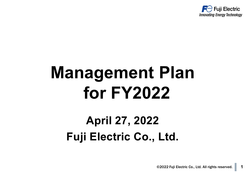

# **Management Plan for FY2022**

### **April 27, 2022 Fuji Electric Co., Ltd.**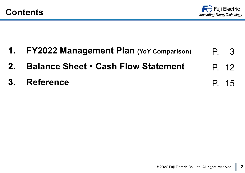

P. 15

- **1. FY2022 Management Plan (YoY Comparison)** P. 3
- **2. Balance Sheet**・**Cash Flow Statement** P. 12
- **3. Reference**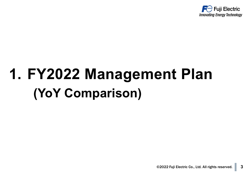

## **1. FY2022 Management Plan (YoY Comparison)**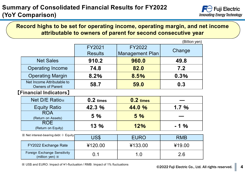#### **Record highs to be set for operating income, operating margin, and net income attributable to owners of parent for second consecutive year**

|                                                       |                |                        | (Billion yen) |
|-------------------------------------------------------|----------------|------------------------|---------------|
|                                                       | FY2021         | <b>FY2022</b>          | Change        |
|                                                       | <b>Results</b> | <b>Management Plan</b> |               |
| <b>Net Sales</b>                                      | 910.2          | 960.0                  | 49.8          |
| <b>Operating Income</b>                               | 74.8           | 82.0                   | 7.2           |
| <b>Operating Margin</b>                               | 8.2%           | 8.5%                   | 0.3%          |
| Net Income Attributable to<br><b>Owners of Parent</b> | 58.7           | 59.0                   | 0.3           |
| [Financial Indicators]                                |                |                        |               |
| <b>Net D/E Ratio</b> *                                | $0.2$ times    | $0.2$ times            |               |
| <b>Equity Ratio</b>                                   | 42.3 %         | 44.0 %                 | 1.7%          |
| <b>ROA</b><br>(Return on Assets)                      | 5 %            | 5%                     |               |
| <b>ROE</b><br>(Return on Equity)                      | 13 %           | 12%                    | $-1\%$        |
| ※ Net interest-bearing debt ÷ Equity                  |                |                        |               |
|                                                       | US\$           | <b>EURO</b>            | <b>RMB</b>    |
| <b>FY2022 Exchange Rate</b>                           | ¥120.00        | ¥133.00                | ¥19.00        |

| <b>FY2022 Exchange Rate</b>                                            | ¥120.00 | ¥133.00 | ¥19.00 |
|------------------------------------------------------------------------|---------|---------|--------|
| <b>Foreign Exchange Sensitivity</b><br>(million yen) $\mathbb{\times}$ |         |         | 2.6    |

※ US\$ and EURO: Impact of ¥1-fluctuation / RMB: Impact of 1% fluctuations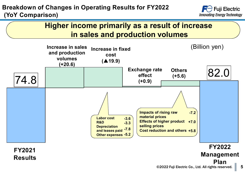

#### **Higher income primarily as a result of increase in sales and production volumes**

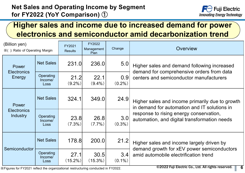

### **Higher sales and income due to increased demand for power electronics and semiconductor amid decarbonization trend**

| (Billion yen)<br>※(): Ratio of Operating Margin |                                                                                                                                               | FY2021             | FY2022<br>Management | Change           | Overview                                                                                        |  |  |  |  |  |
|-------------------------------------------------|-----------------------------------------------------------------------------------------------------------------------------------------------|--------------------|----------------------|------------------|-------------------------------------------------------------------------------------------------|--|--|--|--|--|
|                                                 |                                                                                                                                               | <b>Results</b>     | Plan                 |                  |                                                                                                 |  |  |  |  |  |
| Power                                           | <b>Net Sales</b>                                                                                                                              | 231.0              | 236.0                | 5.0              | Higher sales and demand following increased<br>demand for comprehensive orders from data        |  |  |  |  |  |
| <b>Electronics</b><br>Energy                    | <b>Operating</b><br>Income/<br>Loss                                                                                                           | 21.2<br>$(9.2\%)$  | 22.1<br>$(9.4\%)$    | 0.9<br>$(0.2\%)$ | centers and semiconductor manufacturers                                                         |  |  |  |  |  |
| Power                                           | <b>Net Sales</b>                                                                                                                              | 324.1              | 349.0                | 24.9             | Higher sales and income primarily due to growth<br>in demand for automation and IT solutions in |  |  |  |  |  |
| <b>Electronics</b><br><b>Industry</b>           | <b>Operating</b><br>Income/<br>Loss                                                                                                           | 23.8<br>$(7.3\%)$  | 26.8<br>$(7.7\%)$    | 3.0<br>$(0.3\%)$ | response to rising energy conservation,<br>automation, and digital transformation needs         |  |  |  |  |  |
| Semiconductor                                   | <b>Net Sales</b>                                                                                                                              | 178.8              | 200.0                | 21.2             | Higher sales and income largely driven by<br>demand growth for xEV power semiconductors         |  |  |  |  |  |
|                                                 | <b>Operating</b><br>Income/<br>Loss                                                                                                           | 27.1<br>$(15.2\%)$ | 30.5<br>$(15.3\%)$   | 3.4<br>$(0.1\%)$ | amid automobile electrification trend                                                           |  |  |  |  |  |
|                                                 | ©2022 Fuji Electric Co., Ltd. All rights reserved.<br>6<br>X Figures for FY2021 reflect the organizational restructuring conducted in FY2022. |                    |                      |                  |                                                                                                 |  |  |  |  |  |

※Figures for FY2021 reflect the organizational restructuring conducted in FY2022.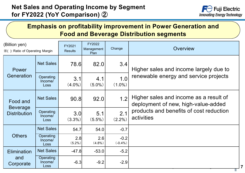

#### **Emphasis on profitability improvement in Power Generation and Food and Beverage Distribution segments**

| (Billion yen)                          |                              | FY2021           | FY2022             | Change               | Overview                                                                      |
|----------------------------------------|------------------------------|------------------|--------------------|----------------------|-------------------------------------------------------------------------------|
| ※(): Ratio of Operating Margin         |                              | <b>Results</b>   | Management<br>Plan |                      |                                                                               |
| Power                                  | <b>Net Sales</b>             | <b>78.6</b>      | 82.0               | 3.4                  | Higher sales and income largely due to                                        |
| Generation                             | Operating<br>Income/<br>Loss | 3.1<br>$(4.0\%)$ | 4.1<br>$(5.0\%)$   | 1.0<br>$(1.0\%)$     | renewable energy and service projects                                         |
| Food and                               | <b>Net Sales</b>             | 90.8             | 92.0               | 1.2                  | Higher sales and income as a result of<br>deployment of new, high-value-added |
| <b>Beverage</b><br><b>Distribution</b> | Operating<br>Income/<br>Loss | 3.0<br>$(3.3\%)$ | 5.1<br>$(5.5\%)$   | 2.1<br>$(2.2\%)$     | products and benefits of cost reduction<br>activities                         |
|                                        | <b>Net Sales</b>             | 54.7             | 54.0               | $-0.7$               |                                                                               |
| <b>Others</b>                          | Operating<br>Income/<br>Loss | 2.8<br>$(5.2\%)$ | 2.6<br>$(4.8\%)$   | $-0.2$<br>$(-0.4% )$ |                                                                               |
| <b>Elimination</b>                     | <b>Net Sales</b>             | $-47.8$          | $-53.0$            | $-5.2$               |                                                                               |
| and<br>Corporate                       | Operating<br>Income/<br>Loss | $-6.3$           | $-9.2$             | $-2.9$               |                                                                               |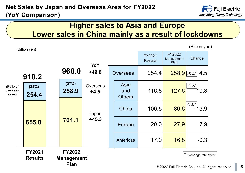#### **Net Sales by Japan and Overseas Area for FY2022 (YoY Comparison)**



#### **Higher sales to Asia and Europe Lower sales in China mainly as a result of lockdowns**

|                                 | (Billion yen)                   |                                                   |                           |                              |                          |                                     | (Billion yen)                                                             |
|---------------------------------|---------------------------------|---------------------------------------------------|---------------------------|------------------------------|--------------------------|-------------------------------------|---------------------------------------------------------------------------|
|                                 |                                 |                                                   | YoY                       |                              | FY2021<br><b>Results</b> | <b>FY2022</b><br>Management<br>Plan | Change                                                                    |
|                                 | 910.2                           | 960.0                                             | $+49.8$                   | Overseas                     | 254.4                    |                                     | $258.9$ -6.4* 4.5                                                         |
| (Ratio of<br>overseas<br>sales) | (28%)<br>254.4                  | (27%)<br>258.9                                    | <b>Overseas</b><br>$+4.5$ | Asia<br>and<br><b>Others</b> | 116.8                    | 127.6                               | $\left $ -1.8* $\right $<br>10.8                                          |
|                                 |                                 |                                                   | Japan                     | China                        | 100.5                    | 86.6                                | $-3.0*$<br>$-13.9$                                                        |
|                                 | 655.8                           | 701.1                                             | $+45.3$                   | <b>Europe</b>                | 20.0                     | 27.9                                | 7.9                                                                       |
|                                 |                                 |                                                   |                           | Americas                     | 17.0                     | 16.8                                | $-0.3$                                                                    |
|                                 | <b>FY2021</b><br><b>Results</b> | <b>FY2022</b><br><b>Management</b><br><b>Plan</b> |                           |                              |                          | $\star$                             | Exchange rate effect<br>$\bigcirc$ 2022 Euii Electric Co. Ltd. All rights |

(Billion yen)

©2022 Fuji Electric Co., Ltd. All rights reserved. **8**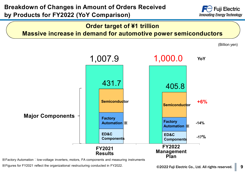

#### **Order target of ¥1 trillion Massive increase in demand for automotive power semiconductors**

(Billion yen)



※Factory Automation:low-voltage inverters, motors, FA components and measuring instruments

※Figures for FY2021 reflect the organizational restructuring conducted in FY2022.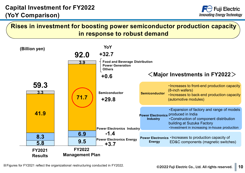

#### **Rises in investment for boosting power semiconductor production capacity in response to robust demand**

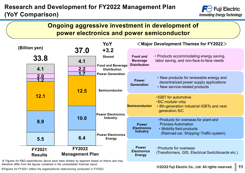#### **Research and Development for FY2022 Management Plan (YoY Comparison)**





※ Figures for R&D expenditures above have been divided by segment based on theme and may therefore differ from the figures contained in the consolidated financial report.

※Figures for FY2021 reflect the organizational restructuring conducted in FY2022.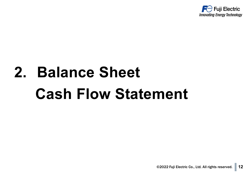

# **2. Balance Sheet Cash Flow Statement**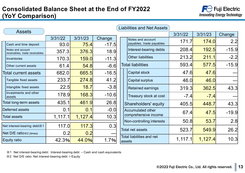#### **Consolidated Balance Sheet at the End of FY2022 (YoY Comparison)**



| <b>Assets</b>                                       |         |         |         |                                            | 3/31/22 | 3/31/23      | Change  |
|-----------------------------------------------------|---------|---------|---------|--------------------------------------------|---------|--------------|---------|
|                                                     | 3/31/22 | 3/31/23 | Change  | Notes and account                          | 171.7   | <b>174.0</b> | 2.2     |
| Cash and time deposit                               | 93.0    | 75.4    | $-17.5$ | payables, trade payables                   |         |              |         |
| Notes and account<br>receivables, trade receivables | 357.3   | 376.3   | 18.9    | Interest-bearing debts                     | 208.4   | 192.5        | $-15.9$ |
| <b>Inventories</b>                                  | 170.3   | 159.0   | $-11.3$ | <b>Other liabilities</b>                   | 213.2   | 211.1        | $-2.2$  |
| Other current assets                                | 61.4    | 54.8    | $-6.6$  | <b>Total liabilities</b>                   | 593.4   | 577.5        | $-15.9$ |
| Total current assets                                | 682.0   | 665.5   | $-16.5$ | <b>Capital stock</b>                       | 47.6    | 47.6         |         |
| Tangible fixed assets                               | 233.7   | 274.8   | 41.2    | <b>Capital surplus</b>                     | 46.0    | 46.0         |         |
| Intangible fixed assets                             | 22.5    | 18.7    | $-3.8$  | <b>Retained earnings</b>                   | 319.3   | 362.5        | 43.3    |
| Investments and other<br>assets                     | 178.9   | 168.3   | $-10.6$ | Treasury stock at cost                     | $-7.4$  | $-7.4$       |         |
| <b>Total long-term assets</b>                       | 435.1   | 461.9   | 26.8    | Shareholders' equity                       | 405.5   | 448.7        | 43.3    |
| Deferred assets                                     | 0.1     | 0.1     | $-0.0$  | Accumulated other                          | 67.4    | 47.5         | $-19.9$ |
| <b>Total assets</b>                                 | 1,117.1 | 1,127.4 | 10.3    | comprehensive income                       |         |              |         |
|                                                     |         |         |         | Non-controlling interests                  | 50.8    | 53.7         | 2.8     |
| Net interest-bearing debt %1                        | 117.0   | 117.3   | 0.3     | <b>Total net assets</b>                    | 523.7   | 549.9        | 26.2    |
| Net $D/E$ ratio $\angle 2$ (times)                  | 0.2     | 0.2     |         |                                            |         |              |         |
| <b>Equity ratio</b>                                 | 42.3%   | 44.0%   | 1.7%    | <b>Total liabilities and net</b><br>assets | 1,117.1 | 1,127.4      | 10.3    |

※1 Net interest-bearing debt: Interest-bearing debt – Cash and cash equivalents

※2 Net D/E ratio: Net interest-bearing debt ÷Equity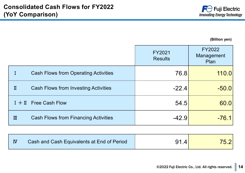

**(Billion yen)**

|   |                                             | FY2021<br><b>Results</b> | FY2022<br>Management<br>Plan |
|---|---------------------------------------------|--------------------------|------------------------------|
|   | <b>Cash Flows from Operating Activities</b> | 76.8                     | 110.0                        |
| п | <b>Cash Flows from Investing Activities</b> | $-22.4$                  | $-50.0$                      |
|   | $I + II$ Free Cash Flow                     | 54.5                     | 60.0                         |
| Ш | <b>Cash Flows from Financing Activities</b> | $-42.9$                  | $-76.1$                      |

| <b>IV</b> | Cash and Cash Equivalents at End of Period | $\mathbf{A}^{\prime}$ |  |
|-----------|--------------------------------------------|-----------------------|--|
|-----------|--------------------------------------------|-----------------------|--|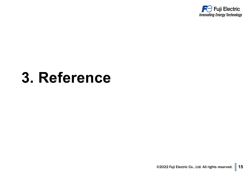

### **3. Reference**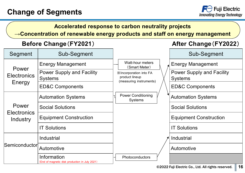

#### **Accelerated response to carbon neutrality projects**

**→Concentration of renewable energy products and staff on energy management**

#### **Before Change**(**FY2021**) **After Change**(**FY2022**)

| Segment                        | Sub-Segment                                                   |                                                                            | Sub-Segment                                        |
|--------------------------------|---------------------------------------------------------------|----------------------------------------------------------------------------|----------------------------------------------------|
|                                | <b>Energy Management</b>                                      | Watt-hour meters<br>(Smart Meter)                                          | <b>Energy Management</b>                           |
| Power<br><b>Electronics</b>    | <b>Power Supply and Facility</b><br><b>Systems</b>            | <b>XIncorporation into FA</b><br>product lineup<br>(measuring instruments) | <b>Power Supply and Facility</b><br><b>Systems</b> |
| Energy                         | <b>ED&amp;C Components</b>                                    |                                                                            | <b>ED&amp;C Components</b>                         |
|                                | <b>Automation Systems</b>                                     | <b>Power Conditioning</b><br>Systems                                       | <b>Automation Systems</b>                          |
| Power                          | <b>Social Solutions</b>                                       |                                                                            | <b>Social Solutions</b>                            |
| <b>Electronics</b><br>Industry | <b>Equipment Construction</b>                                 |                                                                            | <b>Equipment Construction</b>                      |
|                                | <b>IT Solutions</b>                                           |                                                                            | <b>IT Solutions</b>                                |
|                                | Industrial                                                    |                                                                            | Industrial                                         |
| Semiconductor                  | Automotive                                                    |                                                                            | Automotive                                         |
|                                | Information<br>(End of magnetic disk production in July 2021) | Photoconductors                                                            |                                                    |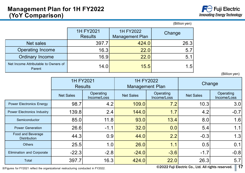|                                                |                             |                                               | (Billion yen) |  |
|------------------------------------------------|-----------------------------|-----------------------------------------------|---------------|--|
|                                                | 1H FY2021<br><b>Results</b> | 1H FY2022<br>Change<br><b>Management Plan</b> |               |  |
| Net sales                                      | 397.7                       | 424.0                                         | 26.3          |  |
| <b>Operating Income</b>                        | 16.3                        | 22.0                                          | 5.7           |  |
| <b>Ordinary Income</b>                         | 16.9                        | 22.0                                          | 5.1           |  |
| Net Income Attributable to Owners of<br>Parent | 14.0                        | 15.5                                          | 1.5           |  |

(Billion yen)

|                                                 | 1H FY2021<br><b>Results</b> |                          | 1H FY2022<br><b>Management Plan</b> |                          | Change           |                          |
|-------------------------------------------------|-----------------------------|--------------------------|-------------------------------------|--------------------------|------------------|--------------------------|
|                                                 | <b>Net Sales</b>            | Operating<br>Income/Loss | <b>Net Sales</b>                    | Operating<br>Income/Loss | <b>Net Sales</b> | Operating<br>Income/Loss |
| <b>Power Electronics Energy</b>                 | 98.7                        | 4.2                      | 109.0                               | 7.2                      | 10.3             | 3.0                      |
| <b>Power Electronics Industry</b>               | 139.8                       | 2.4                      | 144.0                               | 1.7                      | 4.2              | $-0.7$                   |
| Semiconductor                                   | 85.0                        | 11.8                     | 93.0                                | 13.4                     | 8.0              | 1.6                      |
| <b>Power Generation</b>                         | 26.6                        | $-1.1$                   | 32.0                                | 0.0                      | 5.4              | 1.1                      |
| <b>Food and Beverage</b><br><b>Distribution</b> | 44.3                        | 0.9                      | 44.0                                | 2.2                      | $-0.3$           | 1.3                      |
| <b>Others</b>                                   | 25.5                        | 1.0                      | 26.0                                | 1.1                      | 0.5              | 0.1                      |
| <b>Elimination and Corporate</b>                | $-22.3$                     | $-2.8$                   | $-24.0$                             | $-3.6$                   | $-1.7$           | $-0.8$                   |
| Total                                           | 397.7                       | 16.3                     | 424.0                               | 22.0                     | 26.3             | 5.7                      |

※Figures for FY2021 reflect the organizational restructuring conducted in FY2022.

©2022 Fuji Electric Co., Ltd. All rights reserved. **17**